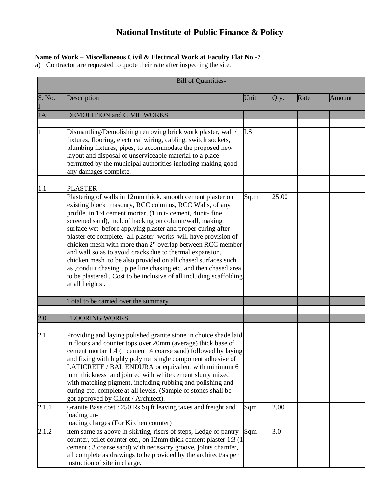## **National Institute of Public Finance & Policy**

## **Name of Work – Miscellaneous Civil & Electrical Work at Faculty Flat No -7**

a) Contractor are requested to quote their rate after inspecting the site.

|                  | <b>Bill of Quantities-</b>                                                                                                                                                                                                                                                                                                                                                                                                                                                                                                                                                                                                                                                                                                            |           |       |      |        |  |  |
|------------------|---------------------------------------------------------------------------------------------------------------------------------------------------------------------------------------------------------------------------------------------------------------------------------------------------------------------------------------------------------------------------------------------------------------------------------------------------------------------------------------------------------------------------------------------------------------------------------------------------------------------------------------------------------------------------------------------------------------------------------------|-----------|-------|------|--------|--|--|
| S. No.           | Description                                                                                                                                                                                                                                                                                                                                                                                                                                                                                                                                                                                                                                                                                                                           | Unit      | Qty.  | Rate | Amount |  |  |
| 1A               | <b>DEMOLITION and CIVIL WORKS</b>                                                                                                                                                                                                                                                                                                                                                                                                                                                                                                                                                                                                                                                                                                     |           |       |      |        |  |  |
|                  |                                                                                                                                                                                                                                                                                                                                                                                                                                                                                                                                                                                                                                                                                                                                       |           |       |      |        |  |  |
|                  | Dismantling/Demolishing removing brick work plaster, wall /<br>fixtures, flooring, electrical wiring, cabling, switch sockets,<br>plumbing fixtures, pipes, to accommodate the proposed new<br>layout and disposal of unserviceable material to a place<br>permitted by the municipal authorities including making good<br>any damages complete.                                                                                                                                                                                                                                                                                                                                                                                      | <b>LS</b> | 1     |      |        |  |  |
| 1.1              | <b>PLASTER</b>                                                                                                                                                                                                                                                                                                                                                                                                                                                                                                                                                                                                                                                                                                                        |           |       |      |        |  |  |
|                  | Plastering of walls in 12mm thick. smooth cement plaster on<br>existing block masonry, RCC columns, RCC Walls, of any<br>profile, in 1:4 cement mortar, (1unit-cement, 4unit- fine<br>screened sand), incl. of hacking on column/wall, making<br>surface wet before applying plaster and proper curing after<br>plaster etc complete. all plaster works will have provision of<br>chicken mesh with more than 2" overlap between RCC member<br>and wall so as to avoid cracks due to thermal expansion,<br>chicken mesh to be also provided on all chased surfaces such<br>as , conduit chasing, pipe line chasing etc. and then chased area<br>to be plastered. Cost to be inclusive of all including scaffolding<br>at all heights. | Sq.m      | 25.00 |      |        |  |  |
|                  | Total to be carried over the summary                                                                                                                                                                                                                                                                                                                                                                                                                                                                                                                                                                                                                                                                                                  |           |       |      |        |  |  |
|                  |                                                                                                                                                                                                                                                                                                                                                                                                                                                                                                                                                                                                                                                                                                                                       |           |       |      |        |  |  |
| 2.0              | <b>FLOORING WORKS</b>                                                                                                                                                                                                                                                                                                                                                                                                                                                                                                                                                                                                                                                                                                                 |           |       |      |        |  |  |
|                  |                                                                                                                                                                                                                                                                                                                                                                                                                                                                                                                                                                                                                                                                                                                                       |           |       |      |        |  |  |
| $\overline{2.1}$ | Providing and laying polished granite stone in choice shade laid<br>in floors and counter tops over 20mm (average) thick base of<br>cement mortar 1:4 (1 cement :4 coarse sand) followed by laying<br>and fixing with highly polymer single component adhesive of<br>LATICRETE / BAL ENDURA or equivalent with minimum 6<br>mm thickness and jointed with white cement slurry mixed<br>with matching pigment, including rubbing and polishing and<br>curing etc. complete at all levels. (Sample of stones shall be<br>got approved by Client / Architect).                                                                                                                                                                           |           |       |      |        |  |  |
| 2.1.1            | Granite Base cost: 250 Rs Sq.ft leaving taxes and freight and<br>loading un-<br>loading charges (For Kitchen counter)                                                                                                                                                                                                                                                                                                                                                                                                                                                                                                                                                                                                                 | Sqm       | 2.00  |      |        |  |  |
| 2.1.2            | item same as above in skirting, risers of steps, Ledge of pantry<br>counter, toilet counter etc., on 12mm thick cement plaster 1:3 (1)<br>cement : 3 coarse sand) with necesarry groove, joints chamfer,<br>all complete as drawings to be provided by the architect/as per<br>instuction of site in charge.                                                                                                                                                                                                                                                                                                                                                                                                                          | Sqm       | 3.0   |      |        |  |  |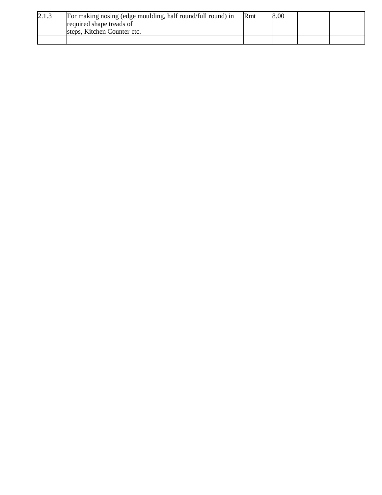| 2.1.3 | For making nosing (edge moulding, half round/full round) in | <b>R</b> mt | <b>8.00</b> |  |
|-------|-------------------------------------------------------------|-------------|-------------|--|
|       | required shape treads of                                    |             |             |  |
|       | steps, Kitchen Counter etc.                                 |             |             |  |
|       |                                                             |             |             |  |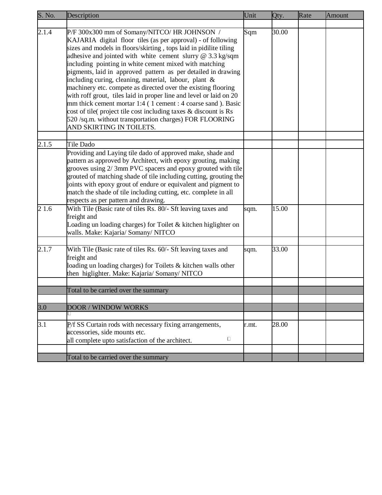| S. No.           | Description                                                                                                                                                                                                                                                                                                                                                                                                                                  | Unit  | Qty.  | Rate | Amount |
|------------------|----------------------------------------------------------------------------------------------------------------------------------------------------------------------------------------------------------------------------------------------------------------------------------------------------------------------------------------------------------------------------------------------------------------------------------------------|-------|-------|------|--------|
| 2.1.4            | P/F 300x300 mm of Somany/NITCO/ HR JOHNSON /<br>KAJARIA digital floor tiles (as per approval) - of following<br>sizes and models in floors/skirting, tops laid in pidilite tiling<br>adhesive and jointed with white cement slurry @ 3.3 kg/sqm<br>including pointing in white cement mixed with matching<br>pigments, laid in approved pattern as per detailed in drawing<br>including curing, cleaning, material, labour, plant &          | Sqm   | 30.00 |      |        |
|                  | machinery etc. compete as directed over the existing flooring<br>with roff grout, tiles laid in proper line and level or laid on 20<br>mm thick cement mortar 1:4 (1 cement : 4 coarse sand ). Basic<br>cost of tile(project tile cost including taxes & discount is Rs<br>520 /sq.m. without transportation charges) FOR FLOORING<br>AND SKIRTING IN TOILETS.                                                                               |       |       |      |        |
| 2.1.5            | Tile Dado                                                                                                                                                                                                                                                                                                                                                                                                                                    |       |       |      |        |
|                  | Providing and Laying tile dado of approved make, shade and<br>pattern as approved by Architect, with epoxy grouting, making<br>grooves using 2/3mm PVC spacers and epoxy grouted with tile<br>grouted of matching shade of tile including cutting, grouting the<br>joints with epoxy grout of endure or equivalent and pigment to<br>match the shade of tile including cutting, etc. complete in all<br>respects as per pattern and drawing. |       |       |      |        |
| 2 1.6            | With Tile (Basic rate of tiles Rs. 80/- Sft leaving taxes and<br>freight and<br>Loading un loading charges) for Toilet & kitchen higlighter on<br>walls. Make: Kajaria/ Somany/ NITCO                                                                                                                                                                                                                                                        | sqm.  | 15.00 |      |        |
| 2.1.7            | With Tile (Basic rate of tiles Rs. 60/- Sft leaving taxes and<br>freight and<br>loading un loading charges) for Toilets & kitchen walls other<br>then higlighter. Make: Kajaria/ Somany/ NITCO                                                                                                                                                                                                                                               | sqm.  | 33.00 |      |        |
|                  | Total to be carried over the summary                                                                                                                                                                                                                                                                                                                                                                                                         |       |       |      |        |
|                  |                                                                                                                                                                                                                                                                                                                                                                                                                                              |       |       |      |        |
| 3.0              | <b>DOOR / WINDOW WORKS</b>                                                                                                                                                                                                                                                                                                                                                                                                                   |       |       |      |        |
| $\overline{3.1}$ | P/f SS Curtain rods with necessary fixing arrangements,<br>accessories, side mounts etc.<br>$\Box$<br>all complete upto satisfaction of the architect.                                                                                                                                                                                                                                                                                       | r.mt. | 28.00 |      |        |
|                  |                                                                                                                                                                                                                                                                                                                                                                                                                                              |       |       |      |        |
|                  | Total to be carried over the summary                                                                                                                                                                                                                                                                                                                                                                                                         |       |       |      |        |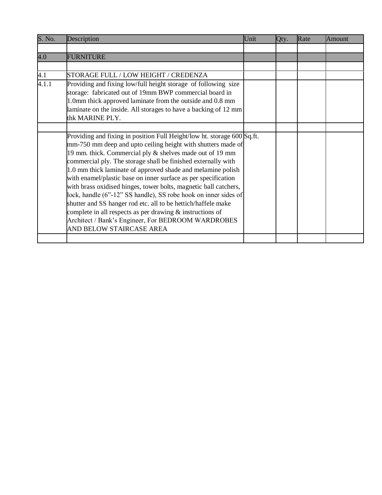| S. No. | Description                                                                                                                                                                                                                                                                                                                                                                                                                                                                                                                                                                                                                                                                                                                                                     | Unit | Qty. | Rate | Amount |
|--------|-----------------------------------------------------------------------------------------------------------------------------------------------------------------------------------------------------------------------------------------------------------------------------------------------------------------------------------------------------------------------------------------------------------------------------------------------------------------------------------------------------------------------------------------------------------------------------------------------------------------------------------------------------------------------------------------------------------------------------------------------------------------|------|------|------|--------|
|        |                                                                                                                                                                                                                                                                                                                                                                                                                                                                                                                                                                                                                                                                                                                                                                 |      |      |      |        |
| 4.0    | <b>FURNITURE</b>                                                                                                                                                                                                                                                                                                                                                                                                                                                                                                                                                                                                                                                                                                                                                |      |      |      |        |
|        |                                                                                                                                                                                                                                                                                                                                                                                                                                                                                                                                                                                                                                                                                                                                                                 |      |      |      |        |
| 4.1    | STORAGE FULL / LOW HEIGHT / CREDENZA                                                                                                                                                                                                                                                                                                                                                                                                                                                                                                                                                                                                                                                                                                                            |      |      |      |        |
| 4.1.1  | Providing and fixing low/full height storage of following size<br>storage: fabricated out of 19mm BWP commercial board in<br>1.0mm thick approved laminate from the outside and 0.8 mm<br>laminate on the inside. All storages to have a backing of 12 mm<br>thk MARINE PLY.                                                                                                                                                                                                                                                                                                                                                                                                                                                                                    |      |      |      |        |
|        |                                                                                                                                                                                                                                                                                                                                                                                                                                                                                                                                                                                                                                                                                                                                                                 |      |      |      |        |
|        | Providing and fixing in position Full Height/low ht. storage 600 Sq.ft.<br>mm-750 mm deep and upto ceiling height with shutters made of<br>19 mm. thick. Commercial ply & shelves made out of 19 mm<br>commercial ply. The storage shall be finished externally with<br>1.0 mm thick laminate of approved shade and melamine polish<br>with enamel/plastic base on inner surface as per specification<br>with brass oxidised hinges, tower bolts, magnetic ball catchers,<br>lock, handle (6"-12" SS handle), SS robe hook on inner sides of<br>shutter and SS hanger rod etc. all to be hettich/haffele make<br>complete in all respects as per drawing $\&$ instructions of<br>Architect / Bank's Engineer, For BEDROOM WARDROBES<br>AND BELOW STAIRCASE AREA |      |      |      |        |
|        |                                                                                                                                                                                                                                                                                                                                                                                                                                                                                                                                                                                                                                                                                                                                                                 |      |      |      |        |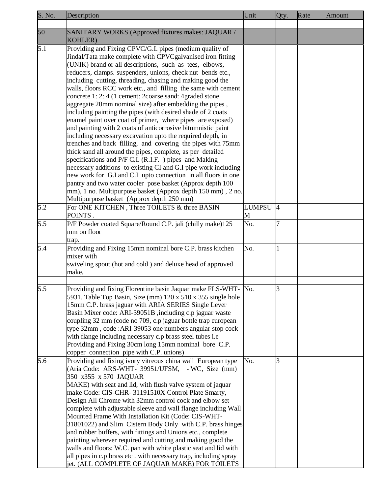| S. No. | Description                                                      | Unit          | Qty.           | Rate | Amount |
|--------|------------------------------------------------------------------|---------------|----------------|------|--------|
|        |                                                                  |               |                |      |        |
| 50     | SANITARY WORKS (Approved fixtures makes: JAQUAR /                |               |                |      |        |
|        | <b>KOHLER)</b>                                                   |               |                |      |        |
| 5.1    | Providing and Fixing CPVC/G.I. pipes (medium quality of          |               |                |      |        |
|        | Jindal/Tata make complete with CPVCgalvanised iron fitting       |               |                |      |        |
|        | (UNIK) brand or all descriptions, such as tees, elbows,          |               |                |      |        |
|        | reducers, clamps. suspenders, unions, check nut bends etc.,      |               |                |      |        |
|        | including cutting, threading, chasing and making good the        |               |                |      |        |
|        | walls, floors RCC work etc., and filling the same with cement    |               |                |      |        |
|        | concrete 1: 2: 4 (1 cement: 2coarse sand: 4 graded stone         |               |                |      |        |
|        | aggregate 20mm nominal size) after embedding the pipes,          |               |                |      |        |
|        | including painting the pipes (with desired shade of 2 coats      |               |                |      |        |
|        | enamel paint over coat of primer, where pipes are exposed)       |               |                |      |        |
|        | and painting with 2 coats of anticorrosive bitumnistic paint     |               |                |      |        |
|        | including necessary excavation upto the required depth, in       |               |                |      |        |
|        | trenches and back filling, and covering the pipes with 75mm      |               |                |      |        |
|        | thick sand all around the pipes, complete, as per detailed       |               |                |      |        |
|        | specifications and P/F C.I. (R.I.F. ) pipes and Making           |               |                |      |        |
|        | necessary additions to existing CI and G.I pipe work including   |               |                |      |        |
|        | new work for G.I and C.I upto connection in all floors in one    |               |                |      |        |
|        | pantry and two water cooler pose basket (Approx depth 100        |               |                |      |        |
|        | mm), 1 no. Multipurpose basket (Approx depth 150 mm), 2 no.      |               |                |      |        |
|        | Multipurpose basket (Approx depth 250 mm)                        |               |                |      |        |
| 5.2    | For ONE KITCHEN, Three TOILETS & three BASIN                     | <b>LUMPSU</b> | $\overline{A}$ |      |        |
|        | POINTS.                                                          | M             |                |      |        |
| 5.5    | P/F Powder coated Square/Round C.P. jali (chilly make)125        | No.           |                |      |        |
|        | mm on floor                                                      |               |                |      |        |
|        | trap.                                                            |               |                |      |        |
| 5.4    | Providing and Fixing 15mm nominal bore C.P. brass kitchen        | No.           |                |      |        |
|        | mixer with                                                       |               |                |      |        |
|        | swiveling spout (hot and cold) and deluxe head of approved       |               |                |      |        |
|        | make.                                                            |               |                |      |        |
|        |                                                                  |               |                |      |        |
| 5.5    | Providing and fixing Florentine basin Jaquar make FLS-WHT- No.   |               | R              |      |        |
|        | 5931, Table Top Basin, Size (mm) 120 x 510 x 355 single hole     |               |                |      |        |
|        | 15mm C.P. brass jaguar with ARIA SERIES Single Lever             |               |                |      |        |
|        | Basin Mixer code: ARI-39051B, including c.p jaguar waste         |               |                |      |        |
|        | coupling 32 mm (code no 709, c.p jaguar bottle trap european     |               |                |      |        |
|        | type 32mm, code: ARI-39053 one numbers angular stop cock         |               |                |      |        |
|        | with flange including necessary c.p brass steel tubes i.e        |               |                |      |        |
|        | Providing and Fixing 30cm long 15mm nominal bore C.P.            |               |                |      |        |
|        | copper connection pipe with C.P. unions)                         |               |                |      |        |
| 5.6    | Providing and fixing ivory vitreous china wall European type     | No.           | З              |      |        |
|        | (Aria Code: ARS-WHT- 39951/UFSM, - WC, Size (mm)                 |               |                |      |        |
|        | 350 x355 x 570 JAQUAR                                            |               |                |      |        |
|        | MAKE) with seat and lid, with flush valve system of jaquar       |               |                |      |        |
|        | make Code: CIS-CHR- 31191510X Control Plate Smarty,              |               |                |      |        |
|        | Design All Chrome with 32mm control cock and elbow set           |               |                |      |        |
|        | complete with adjustable sleeve and wall flange including Wall   |               |                |      |        |
|        | Mounted Frame With Installation Kit (Code: CIS-WHT-              |               |                |      |        |
|        | 31801022) and Slim Cistern Body Only with C.P. brass hinges      |               |                |      |        |
|        | and rubber buffers, with fittings and Unions etc., complete      |               |                |      |        |
|        | painting wherever required and cutting and making good the       |               |                |      |        |
|        | walls and floors: W.C. pan with white plastic seat and lid with  |               |                |      |        |
|        | all pipes in c.p brass etc. with necessary trap, including spray |               |                |      |        |
|        | jet. (ALL COMPLETE OF JAQUAR MAKE) FOR TOILETS                   |               |                |      |        |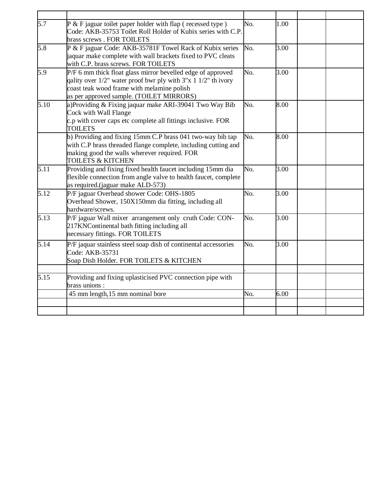| 5.7  | $P$ & F jaguar toilet paper holder with flap (recessed type)<br>Code: AKB-35753 Toilet Roll Holder of Kubix series with C.P.<br>brass screws . FOR TOILETS                                                                  | No. | 1.00 |  |
|------|-----------------------------------------------------------------------------------------------------------------------------------------------------------------------------------------------------------------------------|-----|------|--|
| 5.8  | P & F jaguar Code: AKB-35781F Towel Rack of Kubix series<br>jaquar make complete with wall brackets fixed to PVC cleats<br>with C.P. brass screws. FOR TOILETS                                                              | No. | 3.00 |  |
| 5.9  | P/F 6 mm thick float glass mirror bevelled edge of approved<br>qality over $1/2$ " water proof bwr ply with $3"x 1 1/2"$ th ivory<br>coast teak wood frame with melamine polish<br>as per approved sample. (TOILET MIRRORS) | No. | 3.00 |  |
| 5.10 | a)Providing & Fixing jaquar make ARI-39041 Two Way Bib<br>Cock with Wall Flange<br>c.p with cover caps etc complete all fittings inclusive. FOR<br><b>TOILETS</b>                                                           | No. | 8.00 |  |
|      | b) Providing and fixing 15mm C.P brass 041 two-way bib tap<br>with C.P brass threaded flange complete, including cutting and<br>making good the walls wherever required. FOR<br><b>TOILETS &amp; KITCHEN</b>                | No. | 8.00 |  |
| 5.11 | Providing and fixing fixed health faucet including 15mm dia<br>flexible connection from angle valve to health faucet, complete<br>as required.(jaguar make ALD-573)                                                         | No. | 3.00 |  |
| 5.12 | P/F jaguar Overhead shower Code: OHS-1805<br>Overhead Shower, 150X150mm dia fitting, including all<br>hardware/screws.                                                                                                      | No. | 3.00 |  |
| 5.13 | P/F jaguar Wall mixer arrangement only cruth Code: CON-<br>217KNContinental bath fitting including all<br>necessary fittings. FOR TOILETS                                                                                   | No. | 3.00 |  |
| 5.14 | P/F jaquar stainless steel soap dish of continental accessories<br>Code: AKB-35731<br>Soap Dish Holder. FOR TOILETS & KITCHEN                                                                                               | No. | 3.00 |  |
| 5.15 | Providing and fixing uplasticised PVC connection pipe with<br>brass unions:                                                                                                                                                 |     |      |  |
|      | 45 mm length, 15 mm nominal bore                                                                                                                                                                                            | No. | 6.00 |  |
|      |                                                                                                                                                                                                                             |     |      |  |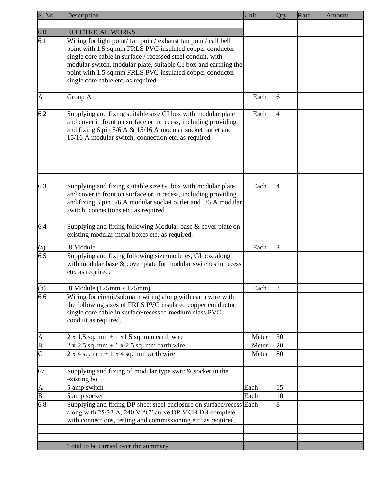| S. No.        | Description                                                                                                                                                                                                                                                                                                                                                      | Unit  | Qty.    | Rate | Amount |
|---------------|------------------------------------------------------------------------------------------------------------------------------------------------------------------------------------------------------------------------------------------------------------------------------------------------------------------------------------------------------------------|-------|---------|------|--------|
|               |                                                                                                                                                                                                                                                                                                                                                                  |       |         |      |        |
| 6.0           | <b>ELECTRICAL WORKS</b>                                                                                                                                                                                                                                                                                                                                          |       |         |      |        |
| 6.1           | Wiring for light point/ fan point/ exhaust fan point/ call bell<br>point with 1.5 sq.mm FRLS PVC insulated copper conductor<br>single core cable in surface / recessed steel conduit, with<br>modular switch, modular plate, suitable GI box and earthing the<br>point with 1.5 sq.mm FRLS PVC insulated copper conductor<br>single core cable etc. as required. |       |         |      |        |
| A             | Group A                                                                                                                                                                                                                                                                                                                                                          | Each  | 6       |      |        |
| 6.2           | Supplying and fixing suitable size GI box with modular plate<br>and cover in front on surface or in recess, including providing<br>and fixing 6 pin $5/6$ A & 15/16 A modular socket outlet and<br>15/16 A modular switch, connection etc. as required.                                                                                                          | Each  | 4       |      |        |
| 6.3           | Supplying and fixing suitable size GI box with modular plate<br>and cover in front on surface or in recess, including providing<br>and fixing 3 pin 5/6 A modular socket outlet and 5/6 A modular<br>switch, connections etc. as required.                                                                                                                       | Each  | 4       |      |        |
| 6.4           | Supplying and fixing following Modular base & cover plate on<br>existing modular metal boxes etc. as required.                                                                                                                                                                                                                                                   |       |         |      |        |
| (a)           | 8 Module                                                                                                                                                                                                                                                                                                                                                         | Each  | 3       |      |        |
| 6.5           | Supplying and fixing following size/modules, GI box along<br>with modular base & cover plate for modular switches in recess<br>etc. as required.                                                                                                                                                                                                                 |       |         |      |        |
| (b)           | 8 Module (125mm x 125mm)                                                                                                                                                                                                                                                                                                                                         | Each  | 3       |      |        |
| 6.6           | Wiring for circuit/submain wiring along with earth wire with<br>the following sizes of FRLS PVC insulated copper conductor,<br>single core cable in surface/recessed medium class PVC<br>conduit as required.                                                                                                                                                    |       |         |      |        |
|               | $2 \times 1.5$ sq. mm + 1 x1.5 sq. mm earth wire                                                                                                                                                                                                                                                                                                                 | Meter | 30      |      |        |
| $\frac{A}{B}$ | $2 \times 2.5$ sq. mm + 1 x 2.5 sq. mm earth wire                                                                                                                                                                                                                                                                                                                | Meter | 20      |      |        |
|               | $2 x 4 sq. mm + 1 x 4 sq. mm earth wire$                                                                                                                                                                                                                                                                                                                         | Meter | 80      |      |        |
| 67            | Supplying and fixing of modular type switc& socket in the<br>existing bo                                                                                                                                                                                                                                                                                         |       |         |      |        |
| $\frac{A}{B}$ | 5 amp switch                                                                                                                                                                                                                                                                                                                                                     | Each  | 15      |      |        |
| 6.8           | 5 amp socket<br>Supplying and fixing DP sheet steel enclosure on surface/recess Each<br>along with 25/32 A, 240 V "C" curve DP MCB DB complete<br>with connections, testing and commissioning etc. as required.                                                                                                                                                  | Each  | 10<br>8 |      |        |
|               |                                                                                                                                                                                                                                                                                                                                                                  |       |         |      |        |
|               | Total to be carried over the summary                                                                                                                                                                                                                                                                                                                             |       |         |      |        |